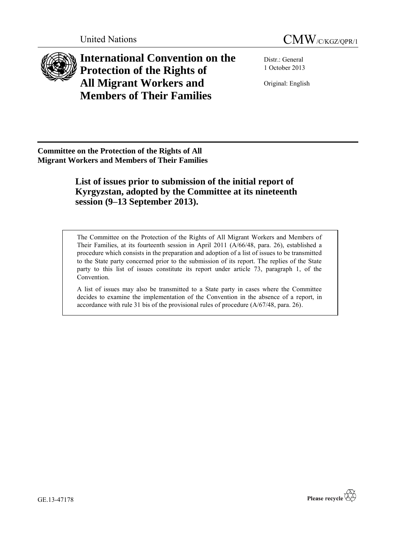



**International Convention on the Protection of the Rights of All Migrant Workers and Members of Their Families**

Distr.: General 1 October 2013

Original: English

**Committee on the Protection of the Rights of All Migrant Workers and Members of Their Families**

> **List of issues prior to submission of the initial report of Kyrgyzstan, adopted by the Committee at its nineteenth session (9–13 September 2013).**

The Committee on the Protection of the Rights of All Migrant Workers and Members of Their Families, at its fourteenth session in April 2011 (A/66/48, para. 26), established a procedure which consists in the preparation and adoption of a list of issues to be transmitted to the State party concerned prior to the submission of its report. The replies of the State party to this list of issues constitute its report under article 73, paragraph 1, of the Convention.

A list of issues may also be transmitted to a State party in cases where the Committee decides to examine the implementation of the Convention in the absence of a report, in accordance with rule 31 bis of the provisional rules of procedure (A/67/48, para. 26).

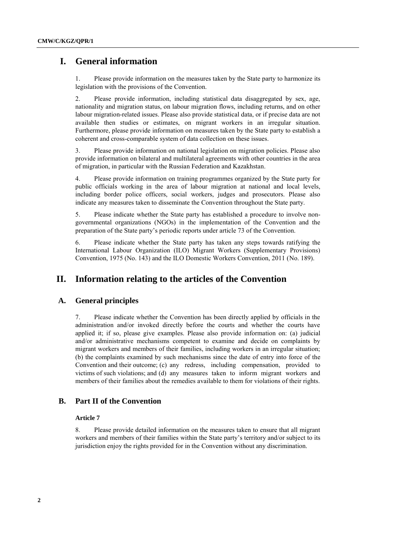# **I. General information**

1. Please provide information on the measures taken by the State party to harmonize its legislation with the provisions of the Convention.

2. Please provide information, including statistical data disaggregated by sex, age, nationality and migration status, on labour migration flows, including returns, and on other labour migration-related issues. Please also provide statistical data, or if precise data are not available then studies or estimates, on migrant workers in an irregular situation. Furthermore, please provide information on measures taken by the State party to establish a coherent and cross-comparable system of data collection on these issues.

3. Please provide information on national legislation on migration policies. Please also provide information on bilateral and multilateral agreements with other countries in the area of migration, in particular with the Russian Federation and Kazakhstan.

4. Please provide information on training programmes organized by the State party for public officials working in the area of labour migration at national and local levels, including border police officers, social workers, judges and prosecutors. Please also indicate any measures taken to disseminate the Convention throughout the State party.

5. Please indicate whether the State party has established a procedure to involve nongovernmental organizations (NGOs) in the implementation of the Convention and the preparation of the State party's periodic reports under article 73 of the Convention.

6. Please indicate whether the State party has taken any steps towards ratifying the International Labour Organization (ILO) Migrant Workers (Supplementary Provisions) Convention, 1975 (No. 143) and the ILO Domestic Workers Convention, 2011 (No. 189).

# **II. Information relating to the articles of the Convention**

### **A. General principles**

7. Please indicate whether the Convention has been directly applied by officials in the administration and/or invoked directly before the courts and whether the courts have applied it; if so, please give examples. Please also provide information on: (a) judicial and/or administrative mechanisms competent to examine and decide on complaints by migrant workers and members of their families, including workers in an irregular situation; (b) the complaints examined by such mechanisms since the date of entry into force of the Convention and their outcome; (c) any redress, including compensation, provided to victims of such violations; and (d) any measures taken to inform migrant workers and members of their families about the remedies available to them for violations of their rights.

## **B. Part II of the Convention**

### **Article 7**

8. Please provide detailed information on the measures taken to ensure that all migrant workers and members of their families within the State party's territory and/or subject to its jurisdiction enjoy the rights provided for in the Convention without any discrimination.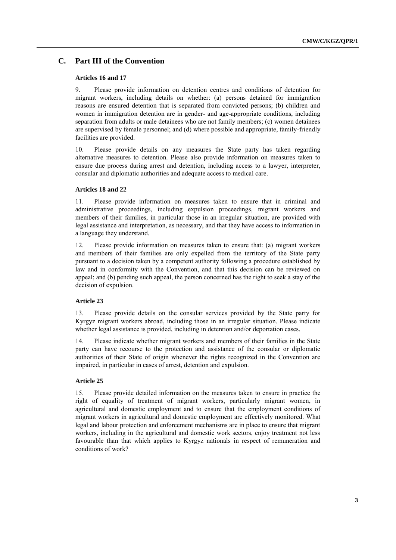## **C. Part III of the Convention**

#### **Articles 16 and 17**

9. Please provide information on detention centres and conditions of detention for migrant workers, including details on whether: (a) persons detained for immigration reasons are ensured detention that is separated from convicted persons; (b) children and women in immigration detention are in gender- and age-appropriate conditions, including separation from adults or male detainees who are not family members; (c) women detainees are supervised by female personnel; and (d) where possible and appropriate, family-friendly facilities are provided.

10. Please provide details on any measures the State party has taken regarding alternative measures to detention. Please also provide information on measures taken to ensure due process during arrest and detention, including access to a lawyer, interpreter, consular and diplomatic authorities and adequate access to medical care.

#### **Articles 18 and 22**

11. Please provide information on measures taken to ensure that in criminal and administrative proceedings, including expulsion proceedings, migrant workers and members of their families, in particular those in an irregular situation, are provided with legal assistance and interpretation, as necessary, and that they have access to information in a language they understand.

12. Please provide information on measures taken to ensure that: (a) migrant workers and members of their families are only expelled from the territory of the State party pursuant to a decision taken by a competent authority following a procedure established by law and in conformity with the Convention, and that this decision can be reviewed on appeal; and (b) pending such appeal, the person concerned has the right to seek a stay of the decision of expulsion.

## **Article 23**

13. Please provide details on the consular services provided by the State party for Kyrgyz migrant workers abroad, including those in an irregular situation. Please indicate whether legal assistance is provided, including in detention and/or deportation cases.

14. Please indicate whether migrant workers and members of their families in the State party can have recourse to the protection and assistance of the consular or diplomatic authorities of their State of origin whenever the rights recognized in the Convention are impaired, in particular in cases of arrest, detention and expulsion.

#### **Article 25**

15. Please provide detailed information on the measures taken to ensure in practice the right of equality of treatment of migrant workers, particularly migrant women, in agricultural and domestic employment and to ensure that the employment conditions of migrant workers in agricultural and domestic employment are effectively monitored. What legal and labour protection and enforcement mechanisms are in place to ensure that migrant workers, including in the agricultural and domestic work sectors, enjoy treatment not less favourable than that which applies to Kyrgyz nationals in respect of remuneration and conditions of work?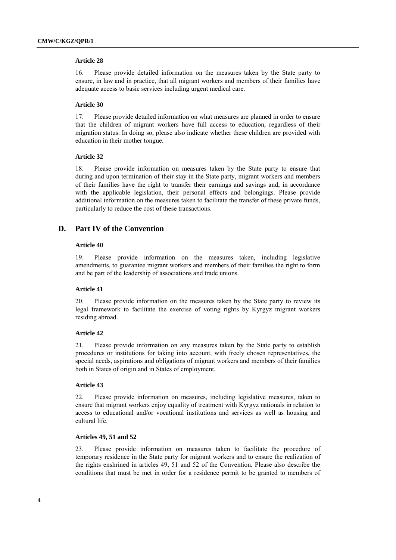#### **Article 28**

16. Please provide detailed information on the measures taken by the State party to ensure, in law and in practice, that all migrant workers and members of their families have adequate access to basic services including urgent medical care.

#### **Article 30**

17. Please provide detailed information on what measures are planned in order to ensure that the children of migrant workers have full access to education, regardless of their migration status. In doing so, please also indicate whether these children are provided with education in their mother tongue.

### **Article 32**

18. Please provide information on measures taken by the State party to ensure that during and upon termination of their stay in the State party, migrant workers and members of their families have the right to transfer their earnings and savings and, in accordance with the applicable legislation, their personal effects and belongings. Please provide additional information on the measures taken to facilitate the transfer of these private funds, particularly to reduce the cost of these transactions.

## **D. Part IV of the Convention**

### **Article 40**

19. Please provide information on the measures taken, including legislative amendments, to guarantee migrant workers and members of their families the right to form and be part of the leadership of associations and trade unions.

#### **Article 41**

20. Please provide information on the measures taken by the State party to review its legal framework to facilitate the exercise of voting rights by Kyrgyz migrant workers residing abroad.

### **Article 42**

21. Please provide information on any measures taken by the State party to establish procedures or institutions for taking into account, with freely chosen representatives, the special needs, aspirations and obligations of migrant workers and members of their families both in States of origin and in States of employment.

#### **Article 43**

22. Please provide information on measures, including legislative measures, taken to ensure that migrant workers enjoy equality of treatment with Kyrgyz nationals in relation to access to educational and/or vocational institutions and services as well as housing and cultural life.

#### **Articles 49, 51 and 52**

23. Please provide information on measures taken to facilitate the procedure of temporary residence in the State party for migrant workers and to ensure the realization of the rights enshrined in articles 49, 51 and 52 of the Convention. Please also describe the conditions that must be met in order for a residence permit to be granted to members of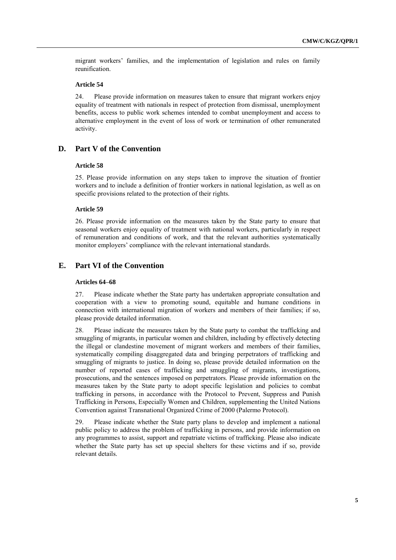migrant workers' families, and the implementation of legislation and rules on family reunification.

### **Article 54**

24. Please provide information on measures taken to ensure that migrant workers enjoy equality of treatment with nationals in respect of protection from dismissal, unemployment benefits, access to public work schemes intended to combat unemployment and access to alternative employment in the event of loss of work or termination of other remunerated activity.

## **D. Part V of the Convention**

#### **Article 58**

25. Please provide information on any steps taken to improve the situation of frontier workers and to include a definition of frontier workers in national legislation, as well as on specific provisions related to the protection of their rights.

#### **Article 59**

26. Please provide information on the measures taken by the State party to ensure that seasonal workers enjoy equality of treatment with national workers, particularly in respect of remuneration and conditions of work, and that the relevant authorities systematically monitor employers' compliance with the relevant international standards.

## **E. Part VI of the Convention**

#### **Articles 64–68**

27. Please indicate whether the State party has undertaken appropriate consultation and cooperation with a view to promoting sound, equitable and humane conditions in connection with international migration of workers and members of their families; if so, please provide detailed information.

28. Please indicate the measures taken by the State party to combat the trafficking and smuggling of migrants, in particular women and children, including by effectively detecting the illegal or clandestine movement of migrant workers and members of their families, systematically compiling disaggregated data and bringing perpetrators of trafficking and smuggling of migrants to justice. In doing so, please provide detailed information on the number of reported cases of trafficking and smuggling of migrants, investigations, prosecutions, and the sentences imposed on perpetrators. Please provide information on the measures taken by the State party to adopt specific legislation and policies to combat trafficking in persons, in accordance with the Protocol to Prevent, Suppress and Punish Trafficking in Persons, Especially Women and Children, supplementing the United Nations Convention against Transnational Organized Crime of 2000 (Palermo Protocol).

29. Please indicate whether the State party plans to develop and implement a national public policy to address the problem of trafficking in persons, and provide information on any programmes to assist, support and repatriate victims of trafficking. Please also indicate whether the State party has set up special shelters for these victims and if so, provide relevant details.